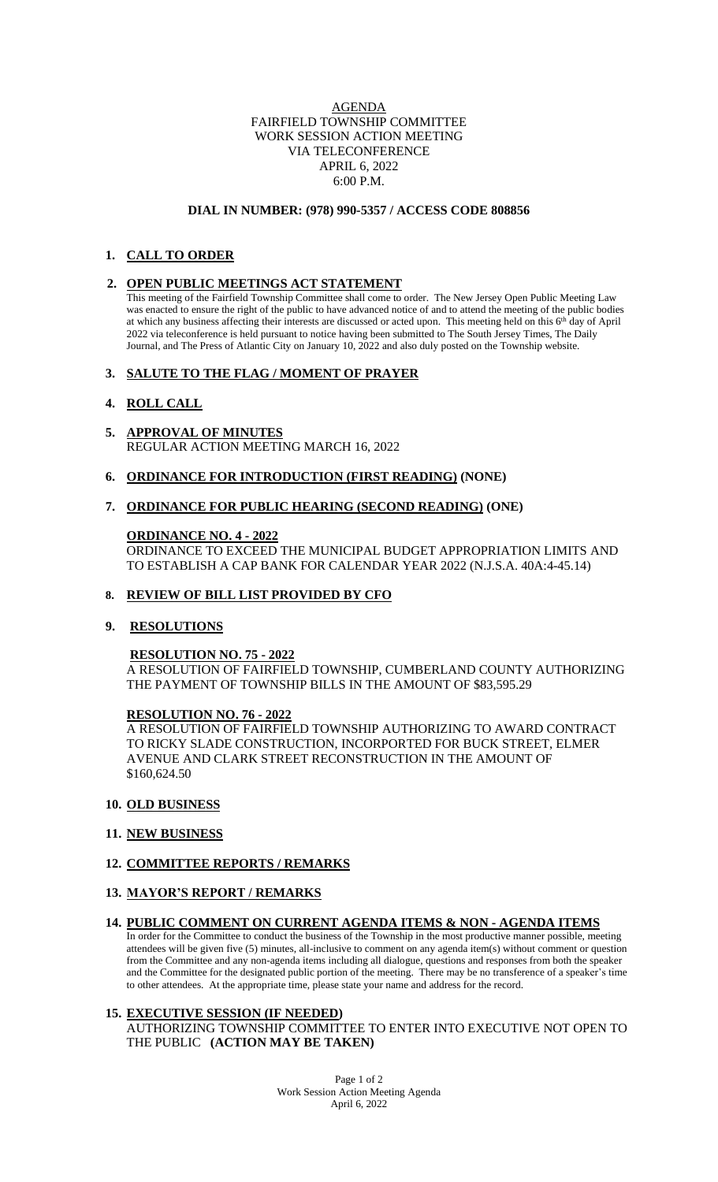## AGENDA FAIRFIELD TOWNSHIP COMMITTEE WORK SESSION ACTION MEETING VIA TELECONFERENCE APRIL 6, 2022 6:00 P.M.

# **DIAL IN NUMBER: (978) 990-5357 / ACCESS CODE 808856**

# **1. CALL TO ORDER**

## **2. OPEN PUBLIC MEETINGS ACT STATEMENT**

This meeting of the Fairfield Township Committee shall come to order. The New Jersey Open Public Meeting Law was enacted to ensure the right of the public to have advanced notice of and to attend the meeting of the public bodies at which any business affecting their interests are discussed or acted upon. This meeting held on this 6<sup>th</sup> day of April 2022 via teleconference is held pursuant to notice having been submitted to The South Jersey Times, The Daily Journal, and The Press of Atlantic City on January 10, 2022 and also duly posted on the Township website.

### **3. SALUTE TO THE FLAG / MOMENT OF PRAYER**

# **4. ROLL CALL**

**5. APPROVAL OF MINUTES** REGULAR ACTION MEETING MARCH 16, 2022

### **6. ORDINANCE FOR INTRODUCTION (FIRST READING) (NONE)**

### **7. ORDINANCE FOR PUBLIC HEARING (SECOND READING) (ONE)**

#### **ORDINANCE NO. 4 - 2022**

ORDINANCE TO EXCEED THE MUNICIPAL BUDGET APPROPRIATION LIMITS AND TO ESTABLISH A CAP BANK FOR CALENDAR YEAR 2022 (N.J.S.A. 40A:4-45.14)

### **8. REVIEW OF BILL LIST PROVIDED BY CFO**

# **9. RESOLUTIONS**

#### **RESOLUTION NO. 75 - 2022**

A RESOLUTION OF FAIRFIELD TOWNSHIP, CUMBERLAND COUNTY AUTHORIZING THE PAYMENT OF TOWNSHIP BILLS IN THE AMOUNT OF \$83,595.29

### **RESOLUTION NO. 76 - 2022**

A RESOLUTION OF FAIRFIELD TOWNSHIP AUTHORIZING TO AWARD CONTRACT TO RICKY SLADE CONSTRUCTION, INCORPORTED FOR BUCK STREET, ELMER AVENUE AND CLARK STREET RECONSTRUCTION IN THE AMOUNT OF \$160,624.50

#### **10. OLD BUSINESS**

### **11. NEW BUSINESS**

# **12. COMMITTEE REPORTS / REMARKS**

# **13. MAYOR'S REPORT / REMARKS**

### **14. PUBLIC COMMENT ON CURRENT AGENDA ITEMS & NON - AGENDA ITEMS**

In order for the Committee to conduct the business of the Township in the most productive manner possible, meeting attendees will be given five (5) minutes, all-inclusive to comment on any agenda item(s) without comment or question from the Committee and any non-agenda items including all dialogue, questions and responses from both the speaker and the Committee for the designated public portion of the meeting. There may be no transference of a speaker's time to other attendees. At the appropriate time, please state your name and address for the record.

## **15. EXECUTIVE SESSION (IF NEEDED)**

AUTHORIZING TOWNSHIP COMMITTEE TO ENTER INTO EXECUTIVE NOT OPEN TO THE PUBLIC **(ACTION MAY BE TAKEN)**

> Page 1 of 2 Work Session Action Meeting Agenda April 6, 2022